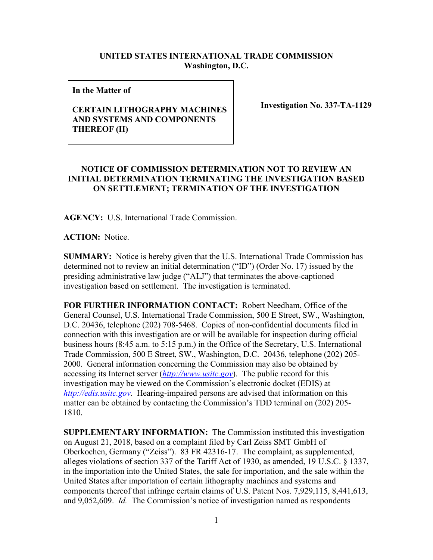## **UNITED STATES INTERNATIONAL TRADE COMMISSION Washington, D.C.**

**In the Matter of** 

## **CERTAIN LITHOGRAPHY MACHINES AND SYSTEMS AND COMPONENTS THEREOF (II)**

**Investigation No. 337-TA-1129**

## **NOTICE OF COMMISSION DETERMINATION NOT TO REVIEW AN INITIAL DETERMINATION TERMINATING THE INVESTIGATION BASED ON SETTLEMENT; TERMINATION OF THE INVESTIGATION**

**AGENCY:** U.S. International Trade Commission.

**ACTION:** Notice.

**SUMMARY:** Notice is hereby given that the U.S. International Trade Commission has determined not to review an initial determination ("ID") (Order No. 17) issued by the presiding administrative law judge ("ALJ") that terminates the above-captioned investigation based on settlement. The investigation is terminated.

**FOR FURTHER INFORMATION CONTACT:** Robert Needham, Office of the General Counsel, U.S. International Trade Commission, 500 E Street, SW., Washington, D.C. 20436, telephone (202) 708-5468. Copies of non-confidential documents filed in connection with this investigation are or will be available for inspection during official business hours (8:45 a.m. to 5:15 p.m.) in the Office of the Secretary, U.S. International Trade Commission, 500 E Street, SW., Washington, D.C. 20436, telephone (202) 205- 2000. General information concerning the Commission may also be obtained by accessing its Internet server (*[http://www.usitc.gov](http://www.usitc.gov/)*). The public record for this investigation may be viewed on the Commission's electronic docket (EDIS) at *[http://edis.usitc.gov](http://edis.usitc.gov/)*. Hearing-impaired persons are advised that information on this matter can be obtained by contacting the Commission's TDD terminal on (202) 205- 1810.

**SUPPLEMENTARY INFORMATION:** The Commission instituted this investigation on August 21, 2018, based on a complaint filed by Carl Zeiss SMT GmbH of Oberkochen, Germany ("Zeiss"). 83 FR 42316-17. The complaint, as supplemented, alleges violations of section 337 of the Tariff Act of 1930, as amended, 19 U.S.C. § 1337, in the importation into the United States, the sale for importation, and the sale within the United States after importation of certain lithography machines and systems and components thereof that infringe certain claims of U.S. Patent Nos. 7,929,115, 8,441,613, and 9,052,609. *Id.* The Commission's notice of investigation named as respondents